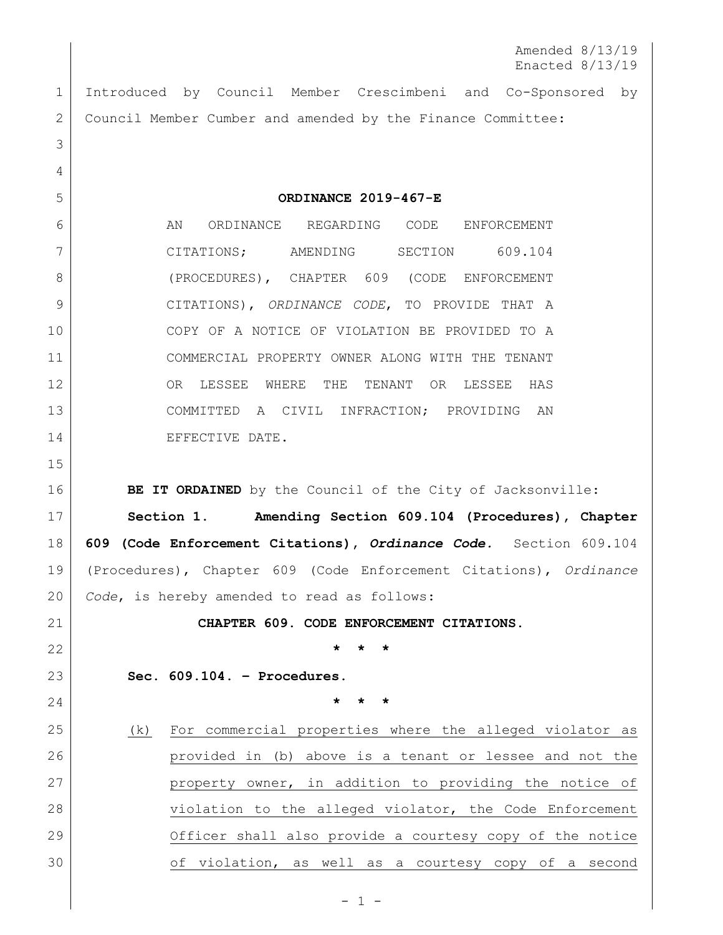Amended 8/13/19 Enacted 8/13/19

 Introduced by Council Member Crescimbeni and Co-Sponsored by 2 | Council Member Cumber and amended by the Finance Committee:

**ORDINANCE 2019-467-E**

6 AN ORDINANCE REGARDING CODE ENFORCEMENT CITATIONS; AMENDING SECTION 609.104 8 (PROCEDURES), CHAPTER 609 (CODE ENFORCEMENT CITATIONS), *ORDINANCE CODE*, TO PROVIDE THAT A COPY OF A NOTICE OF VIOLATION BE PROVIDED TO A COMMERCIAL PROPERTY OWNER ALONG WITH THE TENANT 12 OR LESSEE WHERE THE TENANT OR LESSEE HAS COMMITTED A CIVIL INFRACTION; PROVIDING AN 14 EFFECTIVE DATE.

**BE IT ORDAINED** by the Council of the City of Jacksonville:

 **Section 1**. **Amending Section 609.104 (Procedures), Chapter 609 (Code Enforcement Citations),** *Ordinance Code.* Section 609.104 (Procedures), Chapter 609 (Code Enforcement Citations), *Ordinance Code*, is hereby amended to read as follows:

**CHAPTER 609. CODE ENFORCEMENT CITATIONS.**

**\* \* \***

**Sec. 609.104. – Procedures.** 

**\* \* \***

 (k) For commercial properties where the alleged violator as provided in (b) above is a tenant or lessee and not the 27 property owner, in addition to providing the notice of 28 violation to the alleged violator, the Code Enforcement 29 Officer shall also provide a courtesy copy of the notice 30 of violation, as well as a courtesy copy of a second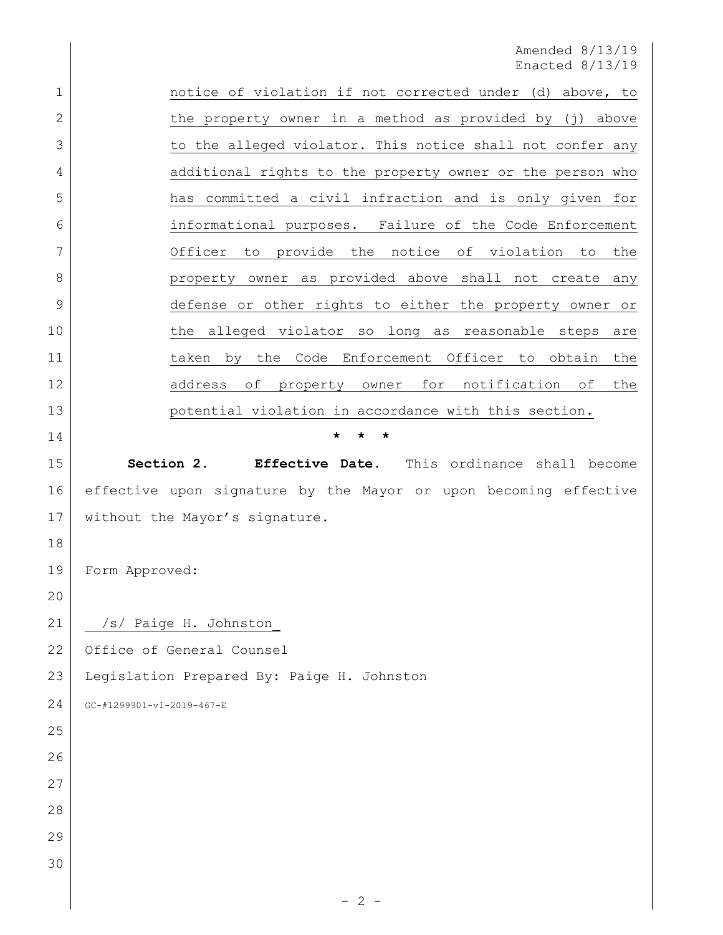Amended 8/13/19 Enacted 8/13/19

1 | notice of violation if not corrected under (d) above, to 2 b the property owner in a method as provided by (j) above 3 to the alleged violator. This notice shall not confer any 4 additional rights to the property owner or the person who has committed a civil infraction and is only given for informational purposes. Failure of the Code Enforcement Officer to provide the notice of violation to the 8 property owner as provided above shall not create any defense or other rights to either the property owner or 10 | the alleged violator so long as reasonable steps are 11 1 taken by the Code Enforcement Officer to obtain the 12 address of property owner for notification of the **potential violation in accordance with this section. \* \* \* Section 2.** Effective Date. This ordinance shall become effective upon signature by the Mayor or upon becoming effective without the Mayor's signature. Form Approved: 21 /s/ Paige H. Johnston\_ 22 Office of General Counsel Legislation Prepared By: Paige H. Johnston GC-#1299901-v1-2019-467-E